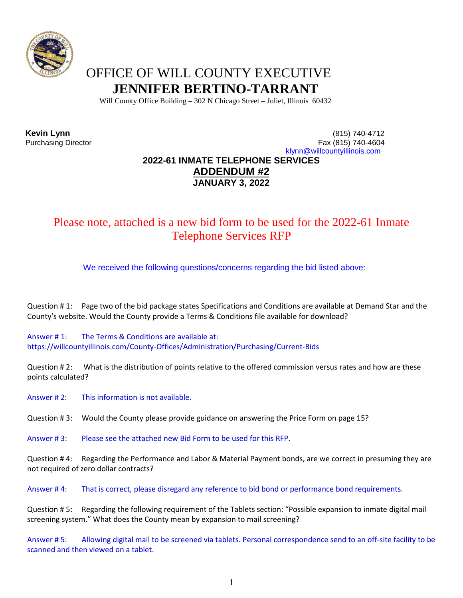

# OFFICE OF WILL COUNTY EXECUTIVE **JENNIFER BERTINO-TARRANT**

Will County Office Building – 302 N Chicago Street – Joliet, Illinois 60432

**Kevin Lynn** (815) 740-4712 Fax (815) 740-4604 [klynn@willcountyillinois.com](mailto:klynn@willcountyillinois.com)

## **2022-61 INMATE TELEPHONE SERVICES ADDENDUM #2 JANUARY 3, 2022**

## Please note, attached is a new bid form to be used for the 2022-61 Inmate Telephone Services RFP

We received the following questions/concerns regarding the bid listed above:

Question # 1: Page two of the bid package states Specifications and Conditions are available at Demand Star and the County's website. Would the County provide a Terms & Conditions file available for download?

Answer # 1: The Terms & Conditions are available at: https://willcountyillinois.com/County-Offices/Administration/Purchasing/Current-Bids

Question # 2: What is the distribution of points relative to the offered commission versus rates and how are these points calculated?

Answer # 2: This information is not available.

Question # 3: Would the County please provide guidance on answering the Price Form on page 15?

Answer # 3: Please see the attached new Bid Form to be used for this RFP.

Question # 4: Regarding the Performance and Labor & Material Payment bonds, are we correct in presuming they are not required of zero dollar contracts?

Answer # 4: That is correct, please disregard any reference to bid bond or performance bond requirements.

Question # 5: Regarding the following requirement of the Tablets section: "Possible expansion to inmate digital mail screening system." What does the County mean by expansion to mail screening?

Answer # 5: Allowing digital mail to be screened via tablets. Personal correspondence send to an off-site facility to be scanned and then viewed on a tablet.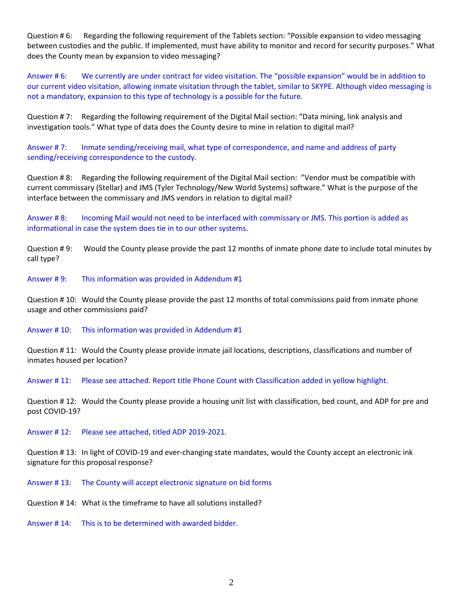Question # 6: Regarding the following requirement of the Tablets section: "Possible expansion to video messaging between custodies and the public. If implemented, must have ability to monitor and record for security purposes." What does the County mean by expansion to video messaging?

Answer # 6: We currently are under contract for video visitation. The "possible expansion" would be in addition to our current video visitation, allowing inmate visitation through the tablet, similar to SKYPE. Although video messaging is not a mandatory, expansion to this type of technology is a possible for the future.

Question # 7: Regarding the following requirement of the Digital Mail section: "Data mining, link analysis and investigation tools." What type of data does the County desire to mine in relation to digital mail?

Answer # 7: Inmate sending/receiving mail, what type of correspondence, and name and address of party sending/receiving correspondence to the custody.

Question # 8: Regarding the following requirement of the Digital Mail section: "Vendor must be compatible with current commissary (Stellar) and JMS (Tyler Technology/New World Systems) software." What is the purpose of the interface between the commissary and JMS vendors in relation to digital mail?

Answer # 8: Incoming Mail would not need to be interfaced with commissary or JMS. This portion is added as informational in case the system does tie in to our other systems.

Question # 9: Would the County please provide the past 12 months of inmate phone date to include total minutes by call type?

Answer # 9: This information was provided in Addendum #1

Question # 10: Would the County please provide the past 12 months of total commissions paid from inmate phone usage and other commissions paid?

Answer # 10: This information was provided in Addendum #1

Question # 11: Would the County please provide inmate jail locations, descriptions, classifications and number of inmates housed per location?

Answer # 11: Please see attached. Report title Phone Count with Classification added in yellow highlight.

Question # 12: Would the County please provide a housing unit list with classification, bed count, and ADP for pre and post COVID-19?

Answer # 12: Please see attached, titled ADP 2019-2021.

Question # 13: In light of COVID-19 and ever-changing state mandates, would the County accept an electronic ink signature for this proposal response?

Answer # 13: The County will accept electronic signature on bid forms

Question # 14: What is the timeframe to have all solutions installed?

Answer # 14: This is to be determined with awarded bidder.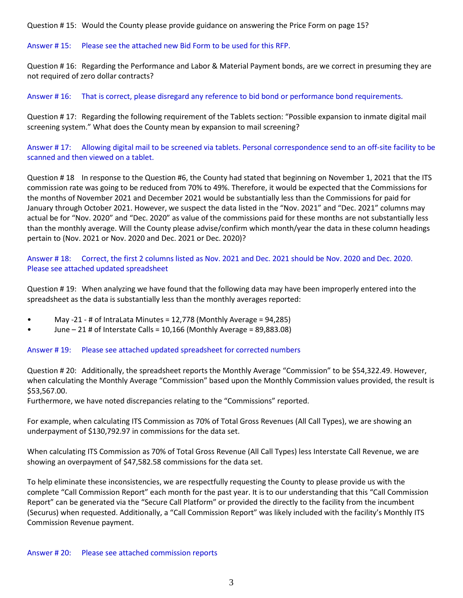Question # 15: Would the County please provide guidance on answering the Price Form on page 15?

#### Answer # 15: Please see the attached new Bid Form to be used for this RFP.

Question # 16: Regarding the Performance and Labor & Material Payment bonds, are we correct in presuming they are not required of zero dollar contracts?

Answer # 16: That is correct, please disregard any reference to bid bond or performance bond requirements.

Question # 17: Regarding the following requirement of the Tablets section: "Possible expansion to inmate digital mail screening system." What does the County mean by expansion to mail screening?

Answer # 17: Allowing digital mail to be screened via tablets. Personal correspondence send to an off-site facility to be scanned and then viewed on a tablet.

Question # 18 In response to the Question #6, the County had stated that beginning on November 1, 2021 that the ITS commission rate was going to be reduced from 70% to 49%. Therefore, it would be expected that the Commissions for the months of November 2021 and December 2021 would be substantially less than the Commissions for paid for January through October 2021. However, we suspect the data listed in the "Nov. 2021" and "Dec. 2021" columns may actual be for "Nov. 2020" and "Dec. 2020" as value of the commissions paid for these months are not substantially less than the monthly average. Will the County please advise/confirm which month/year the data in these column headings pertain to (Nov. 2021 or Nov. 2020 and Dec. 2021 or Dec. 2020)?

### Answer # 18: Correct, the first 2 columns listed as Nov. 2021 and Dec. 2021 should be Nov. 2020 and Dec. 2020. Please see attached updated spreadsheet

Question # 19: When analyzing we have found that the following data may have been improperly entered into the spreadsheet as the data is substantially less than the monthly averages reported:

- May -21 # of IntraLata Minutes = 12,778 (Monthly Average = 94,285)
- June 21 # of Interstate Calls = 10,166 (Monthly Average = 89,883.08)

#### Answer # 19: Please see attached updated spreadsheet for corrected numbers

Question # 20: Additionally, the spreadsheet reports the Monthly Average "Commission" to be \$54,322.49. However, when calculating the Monthly Average "Commission" based upon the Monthly Commission values provided, the result is \$53,567.00.

Furthermore, we have noted discrepancies relating to the "Commissions" reported.

For example, when calculating ITS Commission as 70% of Total Gross Revenues (All Call Types), we are showing an underpayment of \$130,792.97 in commissions for the data set.

When calculating ITS Commission as 70% of Total Gross Revenue (All Call Types) less Interstate Call Revenue, we are showing an overpayment of \$47,582.58 commissions for the data set.

To help eliminate these inconsistencies, we are respectfully requesting the County to please provide us with the complete "Call Commission Report" each month for the past year. It is to our understanding that this "Call Commission Report" can be generated via the "Secure Call Platform" or provided the directly to the facility from the incumbent (Securus) when requested. Additionally, a "Call Commission Report" was likely included with the facility's Monthly ITS Commission Revenue payment.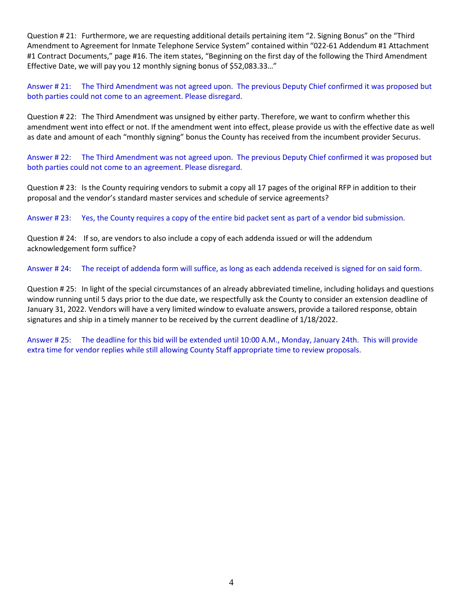Question # 21: Furthermore, we are requesting additional details pertaining item "2. Signing Bonus" on the "Third Amendment to Agreement for Inmate Telephone Service System" contained within "022-61 Addendum #1 Attachment #1 Contract Documents," page #16. The item states, "Beginning on the first day of the following the Third Amendment Effective Date, we will pay you 12 monthly signing bonus of \$52,083.33…"

Answer # 21: The Third Amendment was not agreed upon. The previous Deputy Chief confirmed it was proposed but both parties could not come to an agreement. Please disregard.

Question # 22: The Third Amendment was unsigned by either party. Therefore, we want to confirm whether this amendment went into effect or not. If the amendment went into effect, please provide us with the effective date as well as date and amount of each "monthly signing" bonus the County has received from the incumbent provider Securus.

Answer # 22: The Third Amendment was not agreed upon. The previous Deputy Chief confirmed it was proposed but both parties could not come to an agreement. Please disregard.

Question # 23: Is the County requiring vendors to submit a copy all 17 pages of the original RFP in addition to their proposal and the vendor's standard master services and schedule of service agreements?

Answer # 23: Yes, the County requires a copy of the entire bid packet sent as part of a vendor bid submission.

Question # 24: If so, are vendors to also include a copy of each addenda issued or will the addendum acknowledgement form suffice?

Answer # 24: The receipt of addenda form will suffice, as long as each addenda received is signed for on said form.

Question # 25: In light of the special circumstances of an already abbreviated timeline, including holidays and questions window running until 5 days prior to the due date, we respectfully ask the County to consider an extension deadline of January 31, 2022. Vendors will have a very limited window to evaluate answers, provide a tailored response, obtain signatures and ship in a timely manner to be received by the current deadline of 1/18/2022.

Answer # 25: The deadline for this bid will be extended until 10:00 A.M., Monday, January 24th. This will provide extra time for vendor replies while still allowing County Staff appropriate time to review proposals.